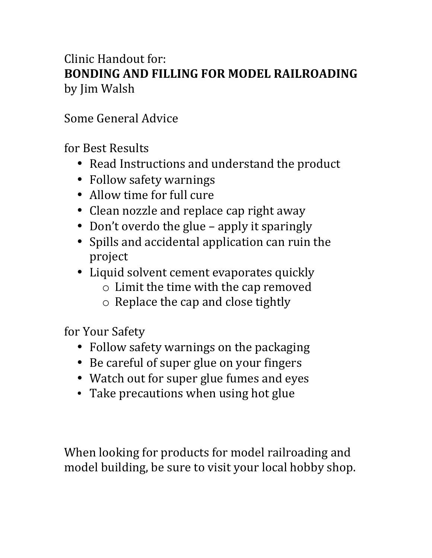## Clinic Handout for: **BONDING AND FILLING FOR MODEL RAILROADING** by Jim Walsh

## Some General Advice

for Best Results

- Read Instructions and understand the product
- Follow safety warnings
- Allow time for full cure
- Clean nozzle and replace cap right away
- Don't overdo the glue apply it sparingly
- Spills and accidental application can ruin the project
- Liquid solvent cement evaporates quickly
	- $\circ$  Limit the time with the cap removed
	- $\circ$  Replace the cap and close tightly

for Your Safety

- Follow safety warnings on the packaging
- Be careful of super glue on your fingers
- Watch out for super glue fumes and eyes
- Take precautions when using hot glue

When looking for products for model railroading and model building, be sure to visit your local hobby shop.